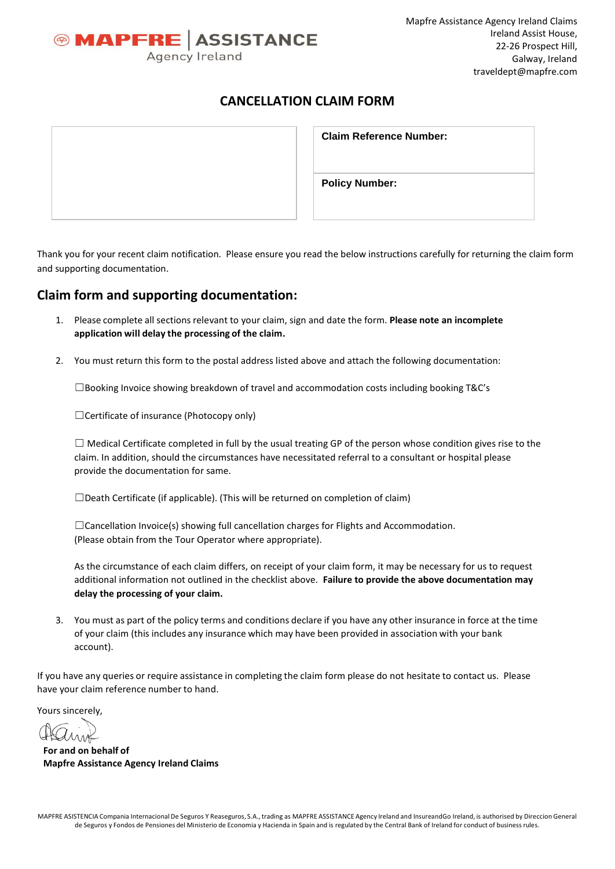

# **CANCELLATION CLAIM FORM**

| <b>Claim Reference Number:</b> |
|--------------------------------|
| <b>Policy Number:</b>          |

Thank you for your recent claim notification. Please ensure you read the below instructions carefully for returning the claim form and supporting documentation.

# **Claim form and supporting documentation:**

- 1. Please complete all sections relevant to your claim, sign and date the form. Please note an incomplete **application will delay the processing of the claim.**
- 2. You must return this form to the postal address listed above and attach the following documentation:

☐Booking Invoice showing breakdown of travel and accommodation costs including booking T&C's

☐Certificate of insurance (Photocopy only)

 $\Box$  Medical Certificate completed in full by the usual treating GP of the person whose condition gives rise to the claim. In addition, should the circumstances have necessitated referral to a consultant or hospital please provide the documentation for same.

 $\square$ Death Certificate (if applicable). (This will be returned on completion of claim)

 $\Box$ Cancellation Invoice(s) showing full cancellation charges for Flights and Accommodation. (Please obtain from the Tour Operator where appropriate).

As the circumstance of each claim differs, on receipt of your claim form, it may be necessary for us to request additional information not outlined in the checklist above. **Failure to provide the above documentation may delay the processing of your claim.**

3. You must as part of the policy terms and conditions declare if you have any other insurance in force at the time of your claim (this includes any insurance which may have been provided in association with your bank account).

If you have any queries or require assistance in completing the claim form please do not hesitate to contact us. Please have your claim reference number to hand.

Yours sincerely,

**For and on behalf of Mapfre Assistance Agency Ireland Claims**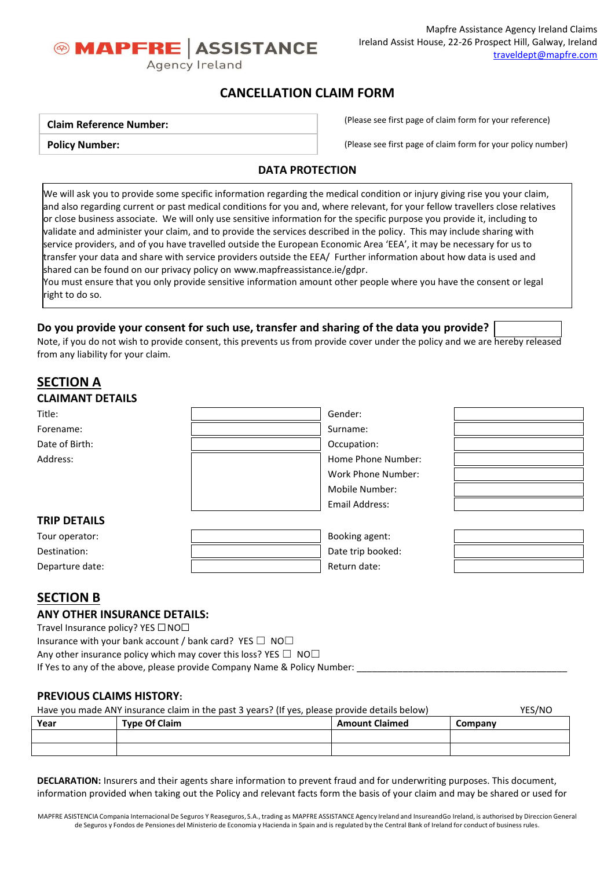

# **CANCELLATION CLAIM FORM**

**Claim Reference Number:** 

**Policy Number:**

(Please see first page of claim form for your reference)

(Please see first page of claim form for your policy number)

## **DATA PROTECTION**

We will ask you to provide some specific information regarding the medical condition or injury giving rise you your claim, and also regarding current or past medical conditions for you and, where relevant, for your fellow travellers close relatives or close business associate. We will only use sensitive information for the specific purpose you provide it, including to validate and administer your claim, and to provide the services described in the policy. This may include sharing with service providers, and of you have travelled outside the European Economic Area 'EEA', it may be necessary for us to transfer your data and share with service providers outside the EEA/ Further information about how data is used and shared can be found on our privacy policy o[n www.mapfreassistance.ie/gdpr.](http://www.mapfreassistance.ie/gdpr)

You must ensure that you only provide sensitive information amount other people where you have the consent or legal right to do so.

## **Do you provide your consent for such use, transfer and sharing of the data you provide?**

Note, if you do not wish to provide consent, this prevents us from provide cover under the policy and we are hereby released from any liability for your claim.

# **SECTION A**

| <b>CLAIMANT DETAILS</b> |                    |  |
|-------------------------|--------------------|--|
| Title:                  | Gender:            |  |
| Forename:               | Surname:           |  |
| Date of Birth:          | Occupation:        |  |
| Address:                | Home Phone Number: |  |
|                         | Work Phone Number: |  |
|                         | Mobile Number:     |  |
|                         | Email Address:     |  |
| <b>TRIP DETAILS</b>     |                    |  |
| Tour operator:          | Booking agent:     |  |
| Destination:            | Date trip booked:  |  |
| Departure date:         | Return date:       |  |

# **SECTION B**

## **ANY OTHER INSURANCE DETAILS:**

Travel Insurance policy? YES □ NO□

Insurance with your bank account / bank card? YES  $\Box$  NO $\Box$ Any other insurance policy which may cover this loss? YES  $\Box$  NO $\Box$ If Yes to any of the above, please provide Company Name & Policy Number:

## **PREVIOUS CLAIMS HISTORY:**

| Have you made ANY insurance claim in the past 3 years? (If yes, please provide details below) |                      |                       |         |  |
|-----------------------------------------------------------------------------------------------|----------------------|-----------------------|---------|--|
| Year                                                                                          | <b>Type Of Claim</b> | <b>Amount Claimed</b> | Company |  |
|                                                                                               |                      |                       |         |  |
|                                                                                               |                      |                       |         |  |

**DECLARATION:** Insurers and their agents share information to prevent fraud and for underwriting purposes. This document, information provided when taking out the Policy and relevant facts form the basis of your claim and may be shared or used for

MAPFRE ASISTENCIA Compania Internacional De Seguros Y Reaseguros, S.A., trading as MAPFRE ASSISTANCE Agency Ireland and InsureandGo Ireland, is authorised by Direccion General de Seguros y Fondos de Pensiones del Ministerio de Economia y Hacienda in Spain and is regulated by the Central Bank of Ireland for conduct of business rules.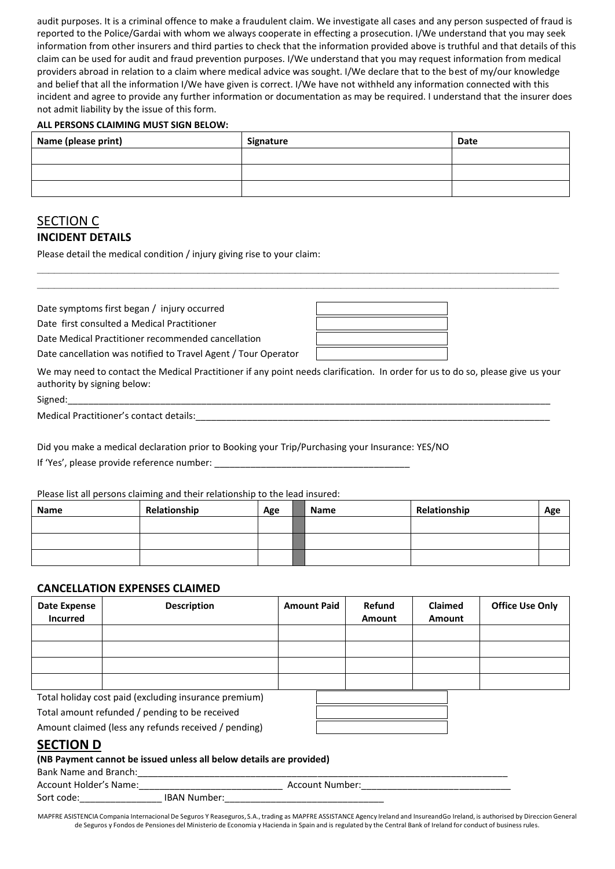audit purposes. It is a criminal offence to make a fraudulent claim. We investigate all cases and any person suspected of fraud is reported to the Police/Gardai with whom we always cooperate in effecting a prosecution. I/We understand that you may seek information from other insurers and third parties to check that the information provided above is truthful and that details of this claim can be used for audit and fraud prevention purposes. I/We understand that you may request information from medical providers abroad in relation to a claim where medical advice was sought. I/We declare that to the best of my/our knowledge and belief that all the information I/We have given is correct. I/We have not withheld any information connected with this incident and agree to provide any further information or documentation as may be required. I understand that the insurer does not admit liability by the issue of this form.

### **ALL PERSONS CLAIMING MUST SIGN BELOW:**

| Name (please print) | Signature | Date |
|---------------------|-----------|------|
|                     |           |      |
|                     |           |      |
|                     |           |      |

**\_\_\_\_\_\_\_\_\_\_\_\_\_\_\_\_\_\_\_\_\_\_\_\_\_\_\_\_\_\_\_\_\_\_\_\_\_\_\_\_\_\_\_\_\_\_\_\_\_\_\_\_\_\_\_\_\_\_\_\_\_\_\_\_\_\_\_\_\_\_\_\_\_\_\_\_\_\_\_\_\_\_\_\_\_\_\_\_\_\_\_ \_\_\_\_\_\_\_\_\_\_\_\_\_\_\_\_\_\_\_\_\_\_\_\_\_\_\_\_\_\_\_\_\_\_\_\_\_\_\_\_\_\_\_\_\_\_\_\_\_\_\_\_\_\_\_\_\_\_\_\_\_\_\_\_\_\_\_\_\_\_\_\_\_\_\_\_\_\_\_\_\_\_\_\_\_\_\_\_\_\_\_**

# SECTION C **INCIDENT DETAILS**

Please detail the medical condition / injury giving rise to your claim:

Date symptoms first began / injury occurred

Date first consulted a Medical Practitioner

Date Medical Practitioner recommended cancellation

Date cancellation was notified to Travel Agent / Tour Operator

We may need to contact the Medical Practitioner if any point needs clarification. In order for us to do so, please give us your authority by signing below:

Signed:\_\_\_\_\_\_\_\_\_\_\_\_\_\_\_\_\_\_\_\_\_\_\_\_\_\_\_\_\_\_\_\_\_\_\_\_\_\_\_\_\_\_\_\_\_\_\_\_\_\_\_\_\_\_\_\_\_\_\_\_\_\_\_\_\_\_\_\_\_\_\_\_\_\_\_\_\_\_\_\_\_\_\_\_\_\_\_\_\_\_\_\_\_\_

Medical Practitioner's contact details:

Did you make a medical declaration prior to Booking your Trip/Purchasing your Insurance: YES/NO

If 'Yes', please provide reference number:

Please list all persons claiming and their relationship to the lead insured:

| <b>Name</b> | Relationship | Age | Name | Relationship | Age |
|-------------|--------------|-----|------|--------------|-----|
|             |              |     |      |              |     |
|             |              |     |      |              |     |
|             |              |     |      |              |     |

### **CANCELLATION EXPENSES CLAIMED**

| Date Expense<br><b>Incurred</b> | <b>Description</b>                                    | <b>Amount Paid</b> | Refund<br>Amount | <b>Claimed</b><br>Amount | <b>Office Use Only</b> |
|---------------------------------|-------------------------------------------------------|--------------------|------------------|--------------------------|------------------------|
|                                 |                                                       |                    |                  |                          |                        |
|                                 |                                                       |                    |                  |                          |                        |
|                                 |                                                       |                    |                  |                          |                        |
|                                 |                                                       |                    |                  |                          |                        |
|                                 | Total holiday cost paid (excluding insurance premium) |                    |                  |                          |                        |

Total amount refunded / pending to be received

Amount claimed (less any refunds received / pending)

# **SECTION D**

### **(NB Payment cannot be issued unless all below details are provided)**

Bank Name and Branch:

| Account Holder's Name: |                     | Account Number: |  |
|------------------------|---------------------|-----------------|--|
| Sort code:             | <b>IBAN Number:</b> |                 |  |

MAPFRE ASISTENCIA Compania Internacional De Seguros Y Reaseguros, S.A., trading as MAPFRE ASSISTANCE Agency Ireland and InsureandGo Ireland, is authorised by Direccion General de Seguros y Fondos de Pensiones del Ministerio de Economia y Hacienda in Spain and is regulated by the Central Bank of Ireland for conduct of business rules.